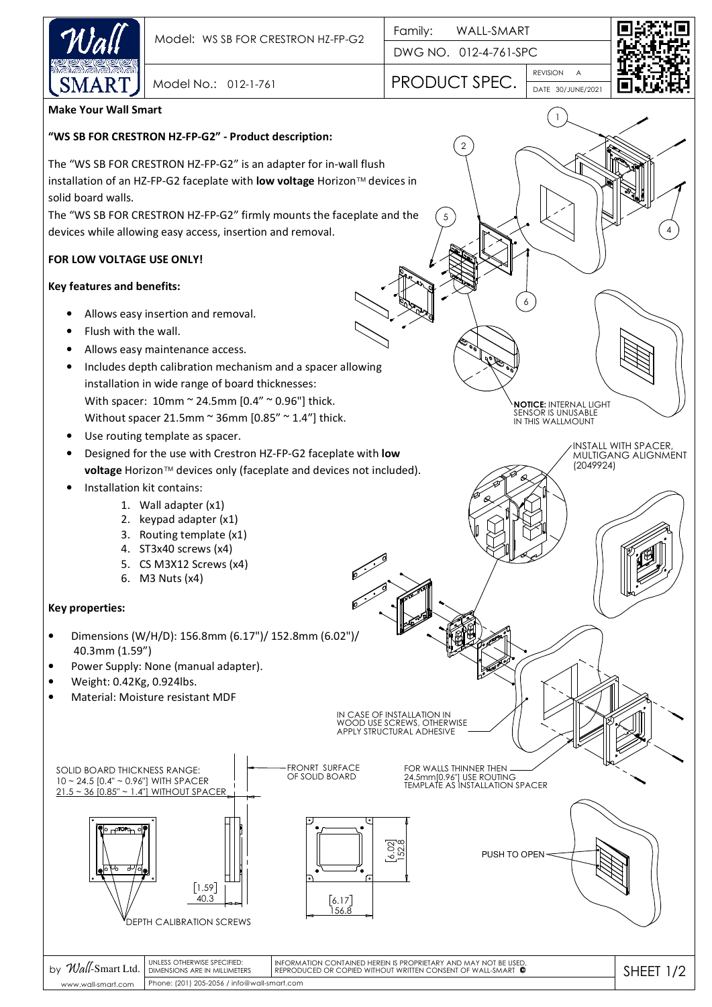

0

5

DWG NO. 012-4-761-SPC

30/JUNE/2021 DATE REVISION A Model No.: 012-1-761 PRODUCT SPEC.

1

6

**NOTICE:** INTERNAL LIGHT SENSOR IS UNUSABLE IN THIS WALLMOUNT

INSTALL WITH SPACER, MULTIGANG ALIGNMENT

(2049924)



4

# **Make Your Wall Smart**

### **"WS SB FOR CRESTRON HZ-FP-G2" - Product description:**

The "WS SB FOR CRESTRON HZ-FP-G2" is an adapter for in-wall flush installation of an HZ-FP-G2 faceplate with **low voltage** Horizon™ devices in solid board walls.

The "WS SB FOR CRESTRON HZ-FP-G2" firmly mounts the faceplate and the devices while allowing easy access, insertion and removal.

## **FOR LOW VOLTAGE USE ONLY!**

### **Key features and benefits:**

- Allows easy insertion and removal.
- Flush with the wall.
- Allows easy maintenance access.
- Includes depth calibration mechanism and a spacer allowing installation in wide range of board thicknesses: With spacer: 10mm ~ 24.5mm [0.4" ~ 0.96"] thick.
	- Without spacer 21.5mm  $\sim$  36mm [0.85"  $\sim$  1.4"] thick.
- Use routing template as spacer.
- Designed for the use with Crestron HZ-FP-G2 faceplate with **low voltage** Horizon™ devices only (faceplate and devices not included).
- Installation kit contains:
	- 1. Wall adapter (x1)
	- 2. keypad adapter (x1)
	- 3. Routing template (x1)
	- 4. ST3x40 screws (x4)
	- 5. CS M3X12 Screws (x4)
	- 6. M3 Nuts (x4)

### **Key properties:**

- Dimensions (W/H/D): 156.8mm (6.17")/ 152.8mm (6.02")/ 40.3mm (1.59")
- Power Supply: None (manual adapter).
- Weight: 0.42Kg, 0.924lbs.
- Material: Moisture resistant MDF



Phone: (201) 205-2056 / info@wall-smart.com www.wall-smart.com

DIMENSIONS ARE IN MILLIMETERS